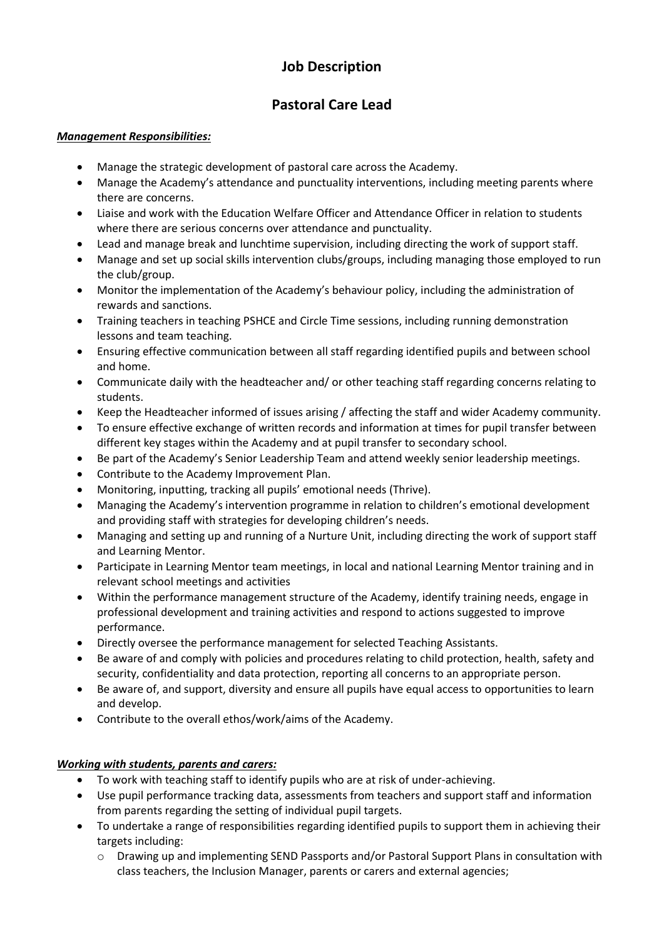## **Job Description**

## **Pastoral Care Lead**

#### *Management Responsibilities:*

- Manage the strategic development of pastoral care across the Academy.
- Manage the Academy's attendance and punctuality interventions, including meeting parents where there are concerns.
- Liaise and work with the Education Welfare Officer and Attendance Officer in relation to students where there are serious concerns over attendance and punctuality.
- Lead and manage break and lunchtime supervision, including directing the work of support staff.
- Manage and set up social skills intervention clubs/groups, including managing those employed to run the club/group.
- Monitor the implementation of the Academy's behaviour policy, including the administration of rewards and sanctions.
- Training teachers in teaching PSHCE and Circle Time sessions, including running demonstration lessons and team teaching.
- Ensuring effective communication between all staff regarding identified pupils and between school and home.
- Communicate daily with the headteacher and/ or other teaching staff regarding concerns relating to students.
- Keep the Headteacher informed of issues arising / affecting the staff and wider Academy community.
- To ensure effective exchange of written records and information at times for pupil transfer between different key stages within the Academy and at pupil transfer to secondary school.
- Be part of the Academy's Senior Leadership Team and attend weekly senior leadership meetings.
- Contribute to the Academy Improvement Plan.
- Monitoring, inputting, tracking all pupils' emotional needs (Thrive).
- Managing the Academy's intervention programme in relation to children's emotional development and providing staff with strategies for developing children's needs.
- Managing and setting up and running of a Nurture Unit, including directing the work of support staff and Learning Mentor.
- Participate in Learning Mentor team meetings, in local and national Learning Mentor training and in relevant school meetings and activities
- Within the performance management structure of the Academy, identify training needs, engage in professional development and training activities and respond to actions suggested to improve performance.
- Directly oversee the performance management for selected Teaching Assistants.
- Be aware of and comply with policies and procedures relating to child protection, health, safety and security, confidentiality and data protection, reporting all concerns to an appropriate person.
- Be aware of, and support, diversity and ensure all pupils have equal access to opportunities to learn and develop.
- Contribute to the overall ethos/work/aims of the Academy.

#### *Working with students, parents and carers:*

- To work with teaching staff to identify pupils who are at risk of under-achieving.
- Use pupil performance tracking data, assessments from teachers and support staff and information from parents regarding the setting of individual pupil targets.
- To undertake a range of responsibilities regarding identified pupils to support them in achieving their targets including:
	- $\circ$  Drawing up and implementing SEND Passports and/or Pastoral Support Plans in consultation with class teachers, the Inclusion Manager, parents or carers and external agencies;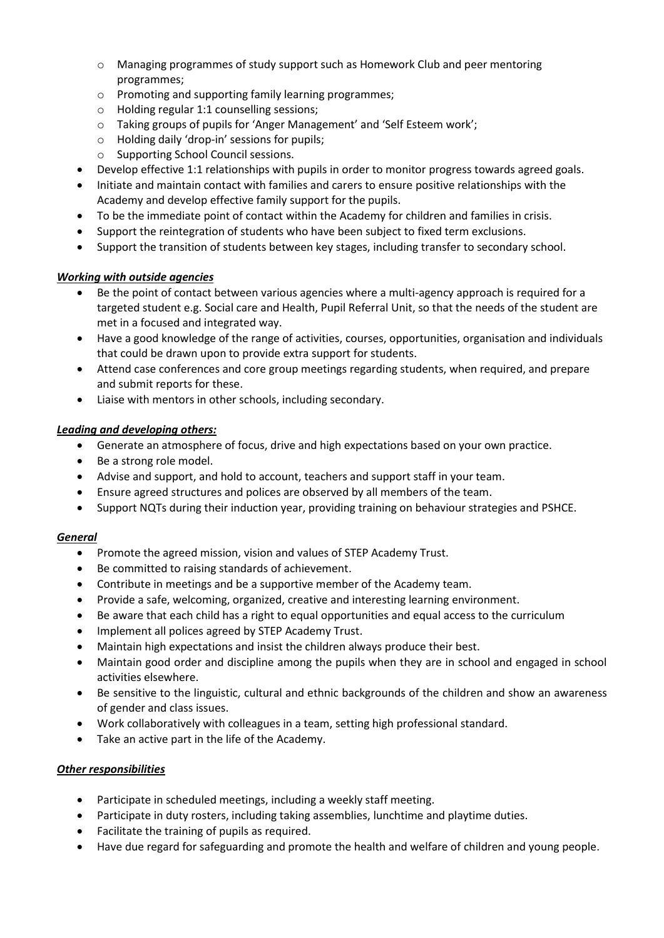- o Managing programmes of study support such as Homework Club and peer mentoring programmes;
- o Promoting and supporting family learning programmes;
- o Holding regular 1:1 counselling sessions;
- o Taking groups of pupils for 'Anger Management' and 'Self Esteem work';
- o Holding daily 'drop-in' sessions for pupils;
- o Supporting School Council sessions.
- Develop effective 1:1 relationships with pupils in order to monitor progress towards agreed goals.
- Initiate and maintain contact with families and carers to ensure positive relationships with the Academy and develop effective family support for the pupils.
- To be the immediate point of contact within the Academy for children and families in crisis.
- Support the reintegration of students who have been subject to fixed term exclusions.
- Support the transition of students between key stages, including transfer to secondary school.

#### *Working with outside agencies*

- Be the point of contact between various agencies where a multi-agency approach is required for a targeted student e.g. Social care and Health, Pupil Referral Unit, so that the needs of the student are met in a focused and integrated way.
- Have a good knowledge of the range of activities, courses, opportunities, organisation and individuals that could be drawn upon to provide extra support for students.
- Attend case conferences and core group meetings regarding students, when required, and prepare and submit reports for these.
- Liaise with mentors in other schools, including secondary.

#### *Leading and developing others:*

- Generate an atmosphere of focus, drive and high expectations based on your own practice.
- Be a strong role model.
- Advise and support, and hold to account, teachers and support staff in your team.
- Ensure agreed structures and polices are observed by all members of the team.
- Support NQTs during their induction year, providing training on behaviour strategies and PSHCE.

#### *General*

- Promote the agreed mission, vision and values of STEP Academy Trust.
- Be committed to raising standards of achievement.
- Contribute in meetings and be a supportive member of the Academy team.
- Provide a safe, welcoming, organized, creative and interesting learning environment.
- Be aware that each child has a right to equal opportunities and equal access to the curriculum
- Implement all polices agreed by STEP Academy Trust.
- Maintain high expectations and insist the children always produce their best.
- Maintain good order and discipline among the pupils when they are in school and engaged in school activities elsewhere.
- Be sensitive to the linguistic, cultural and ethnic backgrounds of the children and show an awareness of gender and class issues.
- Work collaboratively with colleagues in a team, setting high professional standard.
- Take an active part in the life of the Academy.

#### *Other responsibilities*

- Participate in scheduled meetings, including a weekly staff meeting.
- Participate in duty rosters, including taking assemblies, lunchtime and playtime duties.
- Facilitate the training of pupils as required.
- Have due regard for safeguarding and promote the health and welfare of children and young people.